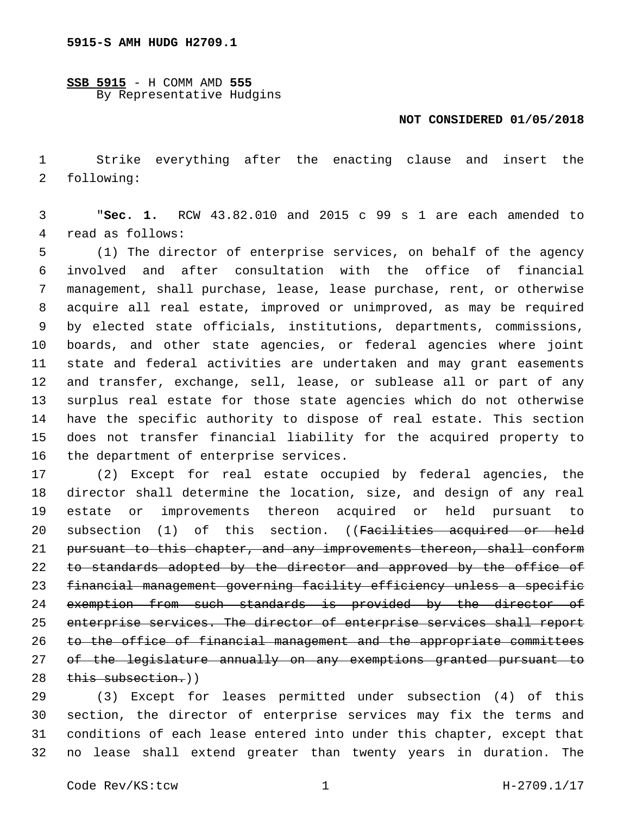**SSB 5915** - H COMM AMD **555** By Representative Hudgins

## **NOT CONSIDERED 01/05/2018**

 Strike everything after the enacting clause and insert the 2 following:

 "**Sec. 1.** RCW 43.82.010 and 2015 c 99 s 1 are each amended to 4 read as follows:

 (1) The director of enterprise services, on behalf of the agency involved and after consultation with the office of financial management, shall purchase, lease, lease purchase, rent, or otherwise acquire all real estate, improved or unimproved, as may be required by elected state officials, institutions, departments, commissions, boards, and other state agencies, or federal agencies where joint state and federal activities are undertaken and may grant easements and transfer, exchange, sell, lease, or sublease all or part of any surplus real estate for those state agencies which do not otherwise have the specific authority to dispose of real estate. This section does not transfer financial liability for the acquired property to 16 the department of enterprise services.

 (2) Except for real estate occupied by federal agencies, the director shall determine the location, size, and design of any real estate or improvements thereon acquired or held pursuant to 20 subsection (1) of this section. ((Facilities acquired or held pursuant to this chapter, and any improvements thereon, shall conform 22 to standards adopted by the director and approved by the office of financial management governing facility efficiency unless a specific 24 exemption from such standards is provided by the director of enterprise services. The director of enterprise services shall report to the office of financial management and the appropriate committees of the legislature annually on any exemptions granted pursuant to 28 this subsection.))

 (3) Except for leases permitted under subsection (4) of this section, the director of enterprise services may fix the terms and conditions of each lease entered into under this chapter, except that no lease shall extend greater than twenty years in duration. The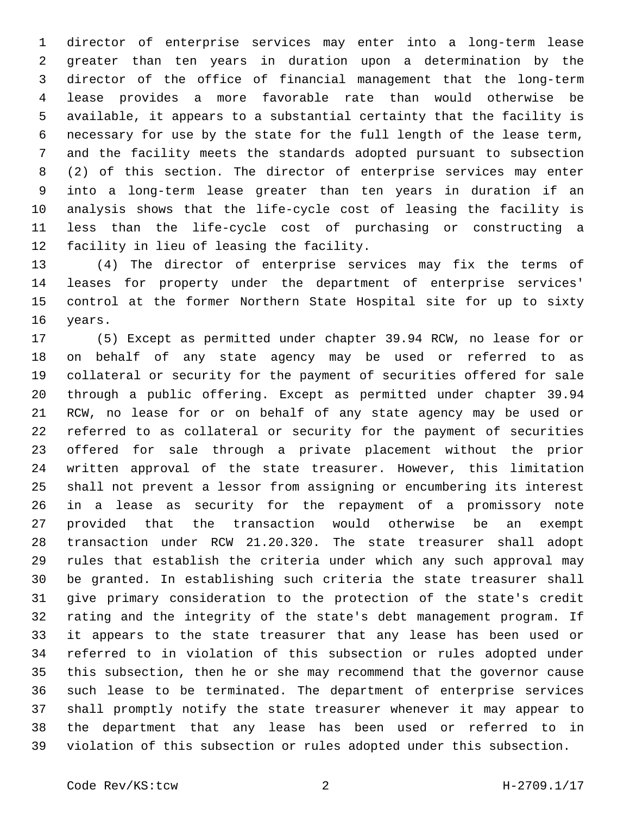director of enterprise services may enter into a long-term lease greater than ten years in duration upon a determination by the director of the office of financial management that the long-term lease provides a more favorable rate than would otherwise be available, it appears to a substantial certainty that the facility is necessary for use by the state for the full length of the lease term, and the facility meets the standards adopted pursuant to subsection (2) of this section. The director of enterprise services may enter into a long-term lease greater than ten years in duration if an analysis shows that the life-cycle cost of leasing the facility is less than the life-cycle cost of purchasing or constructing a 12 facility in lieu of leasing the facility.

 (4) The director of enterprise services may fix the terms of leases for property under the department of enterprise services' control at the former Northern State Hospital site for up to sixty 16 years.

 (5) Except as permitted under chapter 39.94 RCW, no lease for or on behalf of any state agency may be used or referred to as collateral or security for the payment of securities offered for sale through a public offering. Except as permitted under chapter 39.94 RCW, no lease for or on behalf of any state agency may be used or referred to as collateral or security for the payment of securities offered for sale through a private placement without the prior written approval of the state treasurer. However, this limitation shall not prevent a lessor from assigning or encumbering its interest in a lease as security for the repayment of a promissory note provided that the transaction would otherwise be an exempt transaction under RCW 21.20.320. The state treasurer shall adopt rules that establish the criteria under which any such approval may be granted. In establishing such criteria the state treasurer shall give primary consideration to the protection of the state's credit rating and the integrity of the state's debt management program. If it appears to the state treasurer that any lease has been used or referred to in violation of this subsection or rules adopted under this subsection, then he or she may recommend that the governor cause such lease to be terminated. The department of enterprise services shall promptly notify the state treasurer whenever it may appear to the department that any lease has been used or referred to in violation of this subsection or rules adopted under this subsection.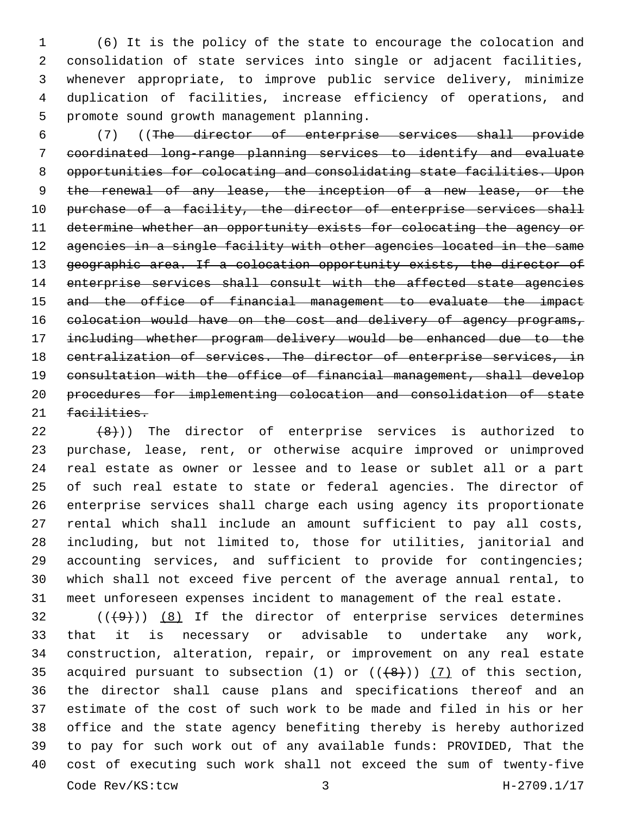(6) It is the policy of the state to encourage the colocation and consolidation of state services into single or adjacent facilities, whenever appropriate, to improve public service delivery, minimize duplication of facilities, increase efficiency of operations, and 5 promote sound growth management planning.

 (7) ((The director of enterprise services shall provide coordinated long-range planning services to identify and evaluate opportunities for colocating and consolidating state facilities. Upon 9 the renewal of any lease, the inception of a new lease, or the 10 purchase of a facility, the director of enterprise services shall determine whether an opportunity exists for colocating the agency or 12 agencies in a single facility with other agencies located in the same 13 geographic area. If a colocation opportunity exists, the director of 14 enterprise services shall consult with the affected state agencies and the office of financial management to evaluate the impact 16 colocation would have on the cost and delivery of agency programs, including whether program delivery would be enhanced due to the centralization of services. The director of enterprise services, in consultation with the office of financial management, shall develop procedures for implementing colocation and consolidation of state 21 facilities.

 $(8)$ )) The director of enterprise services is authorized to purchase, lease, rent, or otherwise acquire improved or unimproved real estate as owner or lessee and to lease or sublet all or a part of such real estate to state or federal agencies. The director of enterprise services shall charge each using agency its proportionate rental which shall include an amount sufficient to pay all costs, including, but not limited to, those for utilities, janitorial and 29 accounting services, and sufficient to provide for contingencies; which shall not exceed five percent of the average annual rental, to meet unforeseen expenses incident to management of the real estate.

 ( $(\frac{49}{})$ )  $(8)$  If the director of enterprise services determines that it is necessary or advisable to undertake any work, construction, alteration, repair, or improvement on any real estate 35 acquired pursuant to subsection (1) or  $((+8+))$  (7) of this section, the director shall cause plans and specifications thereof and an estimate of the cost of such work to be made and filed in his or her office and the state agency benefiting thereby is hereby authorized to pay for such work out of any available funds: PROVIDED, That the cost of executing such work shall not exceed the sum of twenty-five Code Rev/KS:tcw 3 H-2709.1/17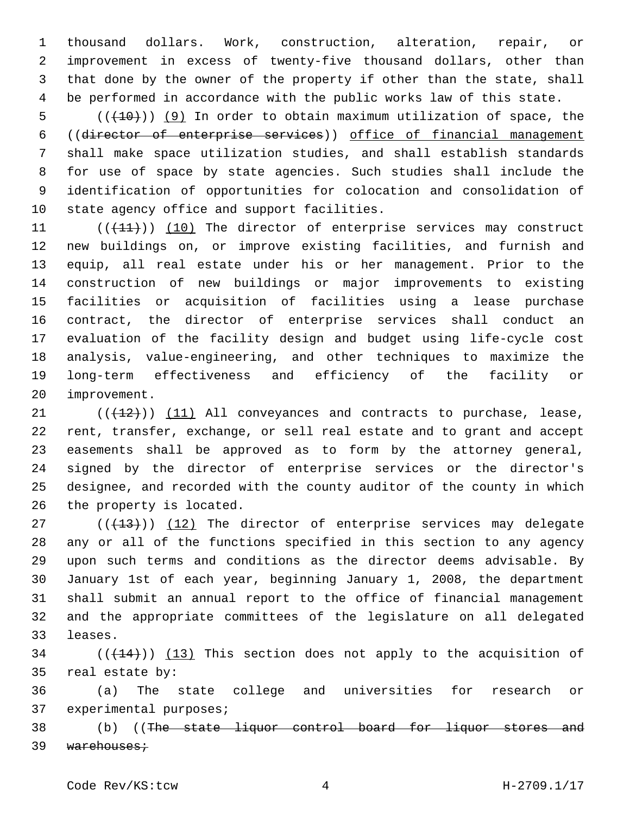thousand dollars. Work, construction, alteration, repair, or improvement in excess of twenty-five thousand dollars, other than that done by the owner of the property if other than the state, shall be performed in accordance with the public works law of this state.

 (( $(10)$ ) (9) In order to obtain maximum utilization of space, the ((director of enterprise services)) office of financial management shall make space utilization studies, and shall establish standards for use of space by state agencies. Such studies shall include the identification of opportunities for colocation and consolidation of 10 state agency office and support facilities.

11 (((41))) (10) The director of enterprise services may construct new buildings on, or improve existing facilities, and furnish and equip, all real estate under his or her management. Prior to the construction of new buildings or major improvements to existing facilities or acquisition of facilities using a lease purchase contract, the director of enterprise services shall conduct an evaluation of the facility design and budget using life-cycle cost analysis, value-engineering, and other techniques to maximize the long-term effectiveness and efficiency of the facility or 20 improvement.

 $(1)$   $(12)$ )  $(11)$  All conveyances and contracts to purchase, lease, rent, transfer, exchange, or sell real estate and to grant and accept easements shall be approved as to form by the attorney general, signed by the director of enterprise services or the director's designee, and recorded with the county auditor of the county in which 26 the property is located.

27 (((413))) (12) The director of enterprise services may delegate any or all of the functions specified in this section to any agency upon such terms and conditions as the director deems advisable. By January 1st of each year, beginning January 1, 2008, the department shall submit an annual report to the office of financial management and the appropriate committees of the legislature on all delegated 33 leases.

 (( $(144)$ )) (13) This section does not apply to the acquisition of 35 real estate by:

 (a) The state college and universities for research or 37 experimental purposes;

 (b) ((The state liquor control board for liquor stores and 39 warehouses;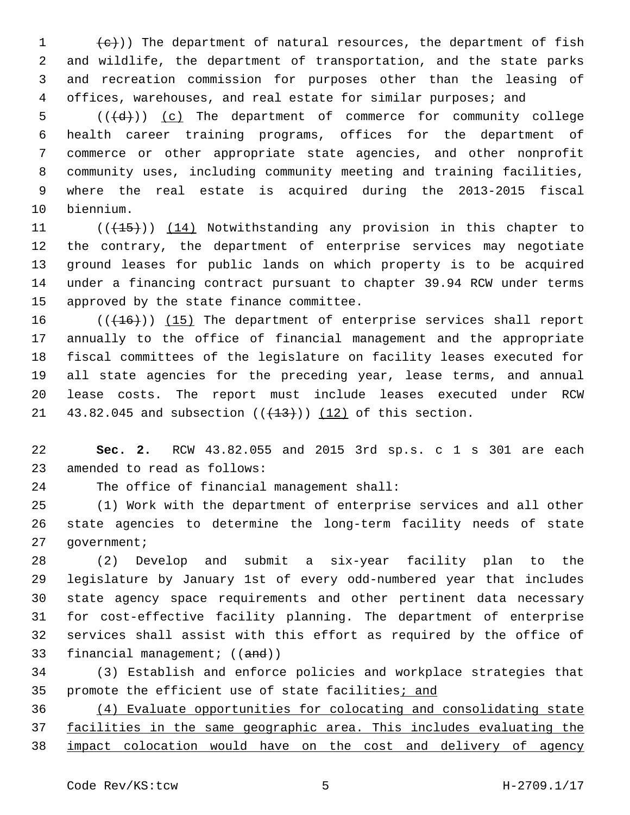$(e+)$ ) The department of natural resources, the department of fish and wildlife, the department of transportation, and the state parks and recreation commission for purposes other than the leasing of offices, warehouses, and real estate for similar purposes; and

 $((\overline{d}))$   $(c)$  The department of commerce for community college health career training programs, offices for the department of commerce or other appropriate state agencies, and other nonprofit community uses, including community meeting and training facilities, where the real estate is acquired during the 2013-2015 fiscal 10 biennium.

11 (((15))) (14) Notwithstanding any provision in this chapter to the contrary, the department of enterprise services may negotiate ground leases for public lands on which property is to be acquired under a financing contract pursuant to chapter 39.94 RCW under terms 15 approved by the state finance committee.

16 (( $(16)$ )) (15) The department of enterprise services shall report annually to the office of financial management and the appropriate fiscal committees of the legislature on facility leases executed for all state agencies for the preceding year, lease terms, and annual lease costs. The report must include leases executed under RCW 21 43.82.045 and subsection  $((+13))$   $(12)$  of this section.

 **Sec. 2.** RCW 43.82.055 and 2015 3rd sp.s. c 1 s 301 are each 23 amended to read as follows:

24 The office of financial management shall:

 (1) Work with the department of enterprise services and all other state agencies to determine the long-term facility needs of state 27 government;

 (2) Develop and submit a six-year facility plan to the legislature by January 1st of every odd-numbered year that includes state agency space requirements and other pertinent data necessary for cost-effective facility planning. The department of enterprise services shall assist with this effort as required by the office of 33 financial management; ((and))

 (3) Establish and enforce policies and workplace strategies that 35 promote the efficient use of state facilities; and

 (4) Evaluate opportunities for colocating and consolidating state facilities in the same geographic area. This includes evaluating the impact colocation would have on the cost and delivery of agency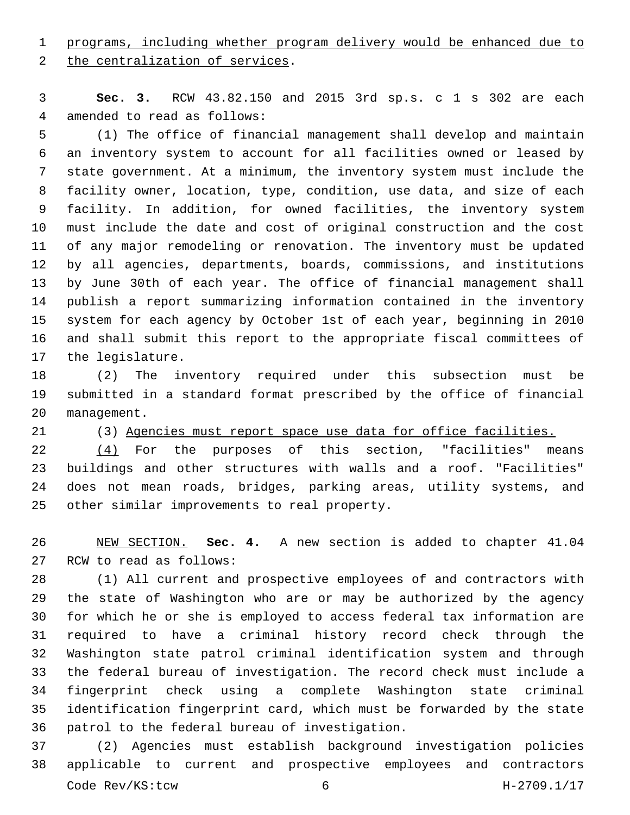programs, including whether program delivery would be enhanced due to

2 the centralization of services.

 **Sec. 3.** RCW 43.82.150 and 2015 3rd sp.s. c 1 s 302 are each 4 amended to read as follows:

 (1) The office of financial management shall develop and maintain an inventory system to account for all facilities owned or leased by state government. At a minimum, the inventory system must include the facility owner, location, type, condition, use data, and size of each facility. In addition, for owned facilities, the inventory system must include the date and cost of original construction and the cost of any major remodeling or renovation. The inventory must be updated by all agencies, departments, boards, commissions, and institutions by June 30th of each year. The office of financial management shall publish a report summarizing information contained in the inventory system for each agency by October 1st of each year, beginning in 2010 and shall submit this report to the appropriate fiscal committees of 17 the legislature.

 (2) The inventory required under this subsection must be submitted in a standard format prescribed by the office of financial 20 management.

 (3) Agencies must report space use data for office facilities. 22 (4) For the purposes of this section, "facilities" means buildings and other structures with walls and a roof. "Facilities" does not mean roads, bridges, parking areas, utility systems, and 25 other similar improvements to real property.

 NEW SECTION. **Sec. 4.** A new section is added to chapter 41.04 27 RCW to read as follows:

 (1) All current and prospective employees of and contractors with the state of Washington who are or may be authorized by the agency for which he or she is employed to access federal tax information are required to have a criminal history record check through the Washington state patrol criminal identification system and through the federal bureau of investigation. The record check must include a fingerprint check using a complete Washington state criminal identification fingerprint card, which must be forwarded by the state 36 patrol to the federal bureau of investigation.

 (2) Agencies must establish background investigation policies applicable to current and prospective employees and contractors Code Rev/KS:tcw 6 H-2709.1/17